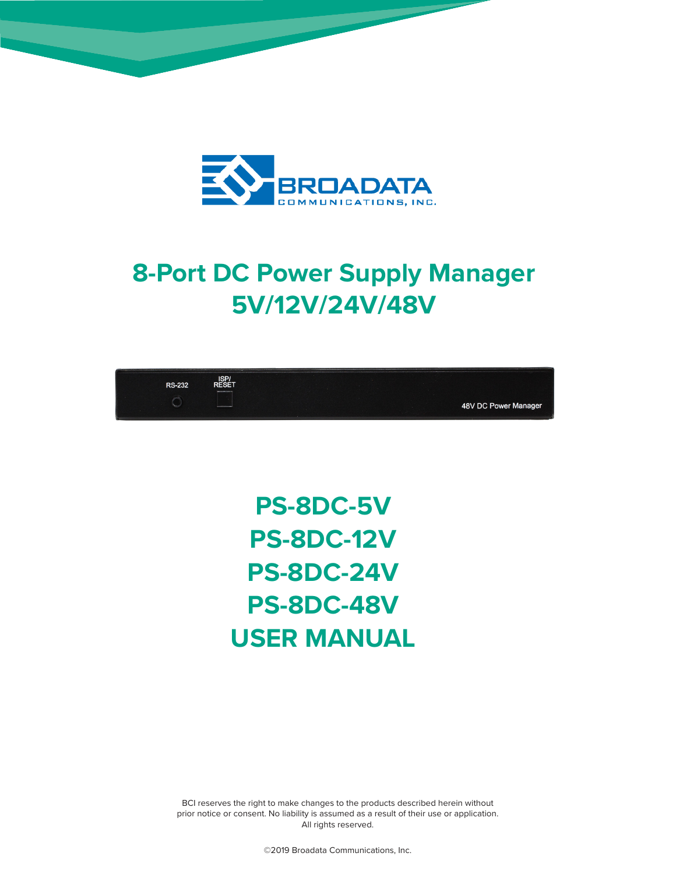

# **8-Port DC Power Supply Manager 5V/12V/24V/48V**



**PS-8DC-5V PS-8DC-12V PS-8DC-24V PS-8DC-48V USER MANUAL**

BCI reserves the right to make changes to the products described herein without prior notice or consent. No liability is assumed as a result of their use or application. All rights reserved.

©2019 Broadata Communications, Inc.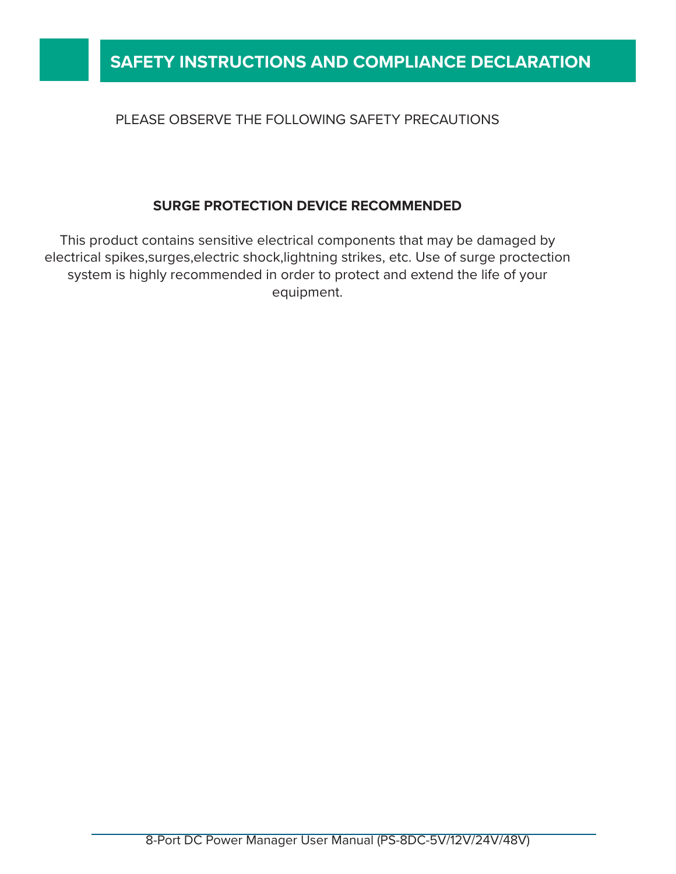#### PLEASE OBSERVE THE FOLLOWING SAFETY PRECAUTIONS

### **SURGE PROTECTION DEVICE RECOMMENDED**

This product contains sensitive electrical components that may be damaged by electrical spikes,surges,electric shock,lightning strikes, etc. Use of surge proctection system is highly recommended in order to protect and extend the life of your equipment.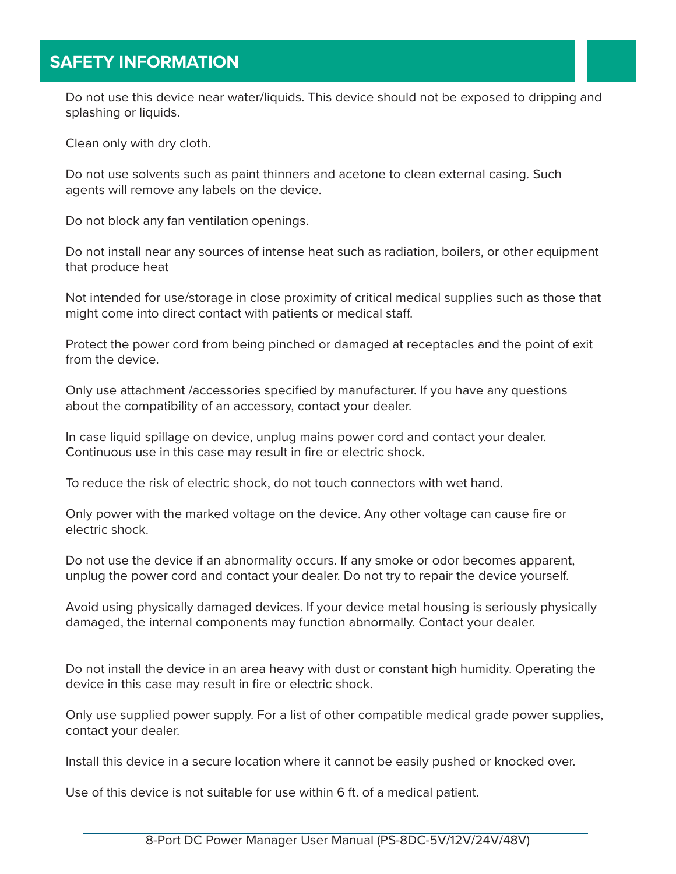### **SAFETY INFORMATION**

Do not use this device near water/liquids. This device should not be exposed to dripping and splashing or liquids.

Clean only with dry cloth.

Do not use solvents such as paint thinners and acetone to clean external casing. Such agents will remove any labels on the device.

Do not block any fan ventilation openings.

Do not install near any sources of intense heat such as radiation, boilers, or other equipment that produce heat

Not intended for use/storage in close proximity of critical medical supplies such as those that might come into direct contact with patients or medical staff.

Protect the power cord from being pinched or damaged at receptacles and the point of exit from the device.

Only use attachment /accessories specified by manufacturer. If you have any questions about the compatibility of an accessory, contact your dealer.

In case liquid spillage on device, unplug mains power cord and contact your dealer. Continuous use in this case may result in fire or electric shock.

To reduce the risk of electric shock, do not touch connectors with wet hand.

Only power with the marked voltage on the device. Any other voltage can cause fire or electric shock.

Do not use the device if an abnormality occurs. If any smoke or odor becomes apparent, unplug the power cord and contact your dealer. Do not try to repair the device yourself.

Avoid using physically damaged devices. If your device metal housing is seriously physically damaged, the internal components may function abnormally. Contact your dealer.

Do not install the device in an area heavy with dust or constant high humidity. Operating the device in this case may result in fire or electric shock.

Only use supplied power supply. For a list of other compatible medical grade power supplies, contact your dealer.

Install this device in a secure location where it cannot be easily pushed or knocked over.

Use of this device is not suitable for use within 6 ft. of a medical patient.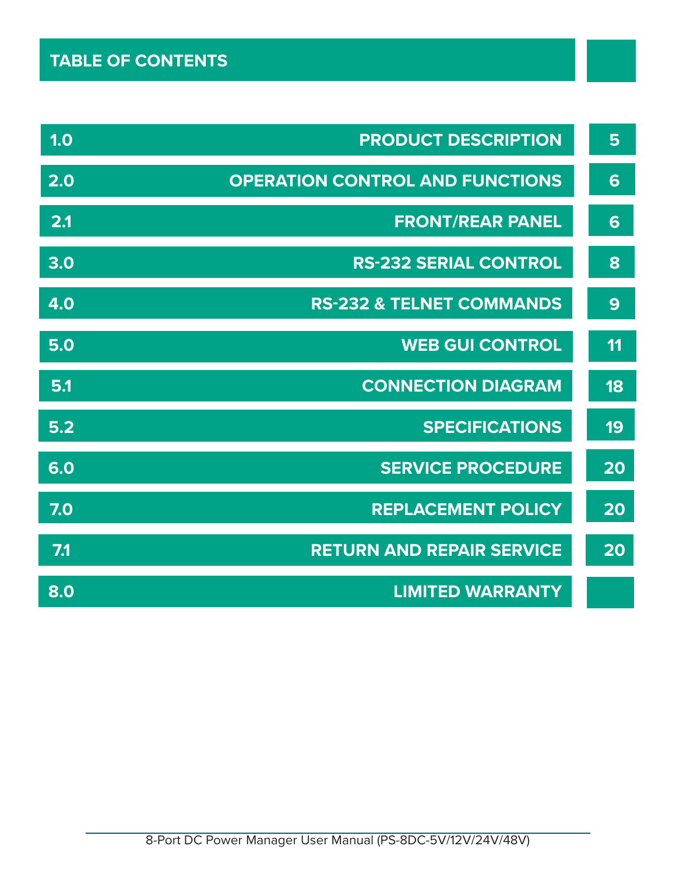| 1.0 | <b>PRODUCT DESCRIPTION</b>             | 5  |
|-----|----------------------------------------|----|
| 2.0 | <b>OPERATION CONTROL AND FUNCTIONS</b> | 6  |
| 2.1 | <b>FRONT/REAR PANEL</b>                | 6  |
| 3.0 | <b>RS-232 SERIAL CONTROL</b>           | 8  |
| 4.0 | <b>RS-232 &amp; TELNET COMMANDS</b>    | 9  |
| 5.0 | <b>WEB GUI CONTROL</b>                 | 11 |
| 5.1 | <b>CONNECTION DIAGRAM</b>              | 18 |
| 5.2 | <b>SPECIFICATIONS</b>                  | 19 |
| 6.0 | <b>SERVICE PROCEDURE</b>               | 20 |
| 7.0 | <b>REPLACEMENT POLICY</b>              | 20 |
| 7.1 | <b>RETURN AND REPAIR SERVICE</b>       | 20 |
| 8.0 | <b>LIMITED WARRANTY</b>                |    |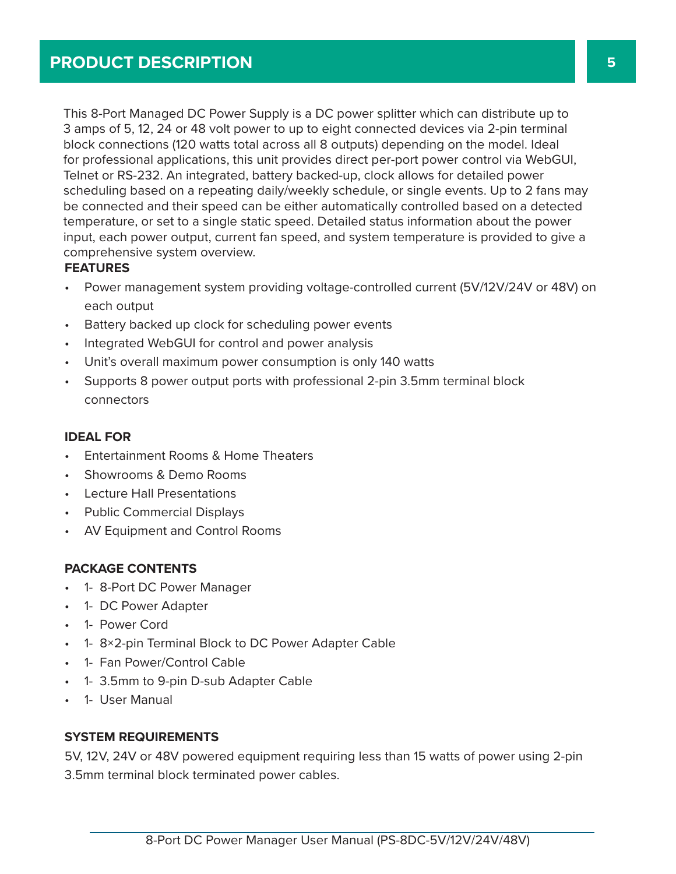This 8-Port Managed DC Power Supply is a DC power splitter which can distribute up to 3 amps of 5, 12, 24 or 48 volt power to up to eight connected devices via 2-pin terminal block connections (120 watts total across all 8 outputs) depending on the model. Ideal for professional applications, this unit provides direct per-port power control via WebGUI, Telnet or RS-232. An integrated, battery backed-up, clock allows for detailed power scheduling based on a repeating daily/weekly schedule, or single events. Up to 2 fans may be connected and their speed can be either automatically controlled based on a detected temperature, or set to a single static speed. Detailed status information about the power input, each power output, current fan speed, and system temperature is provided to give a comprehensive system overview.

#### **FEATURES**

- Power management system providing voltage-controlled current (5V/12V/24V or 48V) on each output
- Battery backed up clock for scheduling power events
- Integrated WebGUI for control and power analysis
- Unit's overall maximum power consumption is only 140 watts
- Supports 8 power output ports with professional 2-pin 3.5mm terminal block connectors

#### **IDEAL FOR**

- Entertainment Rooms & Home Theaters
- Showrooms & Demo Rooms
- Lecture Hall Presentations
- Public Commercial Displays
- AV Equipment and Control Rooms

#### **PACKAGE CONTENTS**

- 1- 8-Port DC Power Manager
- 1- DC Power Adapter
- 1- Power Cord
- 1- 8×2-pin Terminal Block to DC Power Adapter Cable
- 1- Fan Power/Control Cable
- 1- 3.5mm to 9-pin D-sub Adapter Cable
- 1- User Manual

#### **SYSTEM REQUIREMENTS**

5V, 12V, 24V or 48V powered equipment requiring less than 15 watts of power using 2-pin 3.5mm terminal block terminated power cables.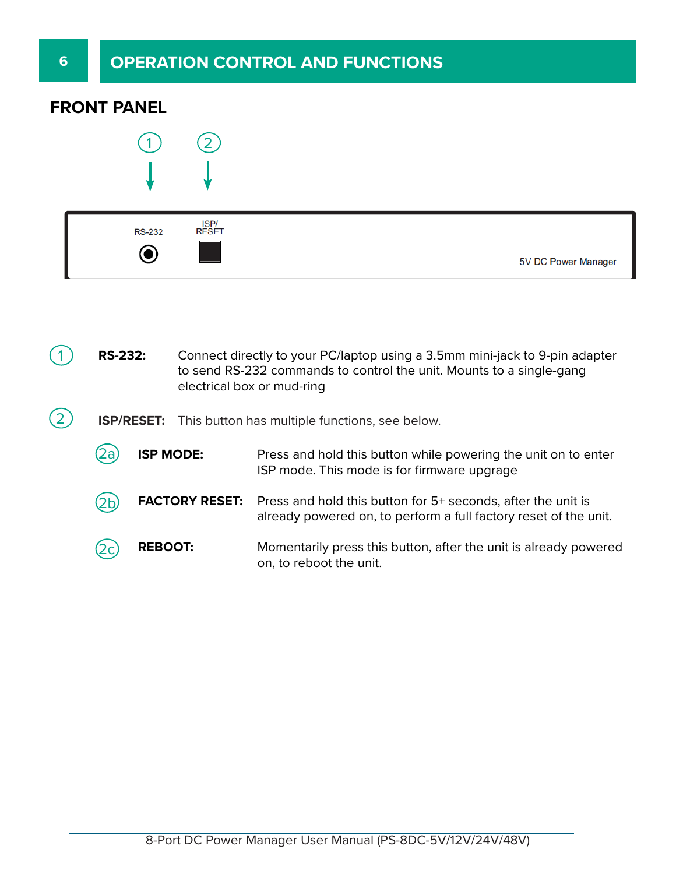### **FRONT PANEL**



| <b>RS-232</b> | ISP/<br>RESET |                     |
|---------------|---------------|---------------------|
|               |               | 5V DC Power Manager |

| <b>RS-232:</b><br>Connect directly to your PC/laptop using a 3.5mm mini-jack to 9-pin adapter<br>to send RS-232 commands to control the unit. Mounts to a single-gang<br>electrical box or mud-ring |                       |                                                                                                                                  |
|-----------------------------------------------------------------------------------------------------------------------------------------------------------------------------------------------------|-----------------------|----------------------------------------------------------------------------------------------------------------------------------|
|                                                                                                                                                                                                     |                       | <b>ISP/RESET:</b> This button has multiple functions, see below.                                                                 |
| za                                                                                                                                                                                                  | <b>ISP MODE:</b>      | Press and hold this button while powering the unit on to enter<br>ISP mode. This mode is for firmware upgrage                    |
|                                                                                                                                                                                                     | <b>FACTORY RESET:</b> | Press and hold this button for 5+ seconds, after the unit is<br>already powered on, to perform a full factory reset of the unit. |
| <b>REBOOT:</b>                                                                                                                                                                                      |                       | Momentarily press this button, after the unit is already powered<br>on, to reboot the unit.                                      |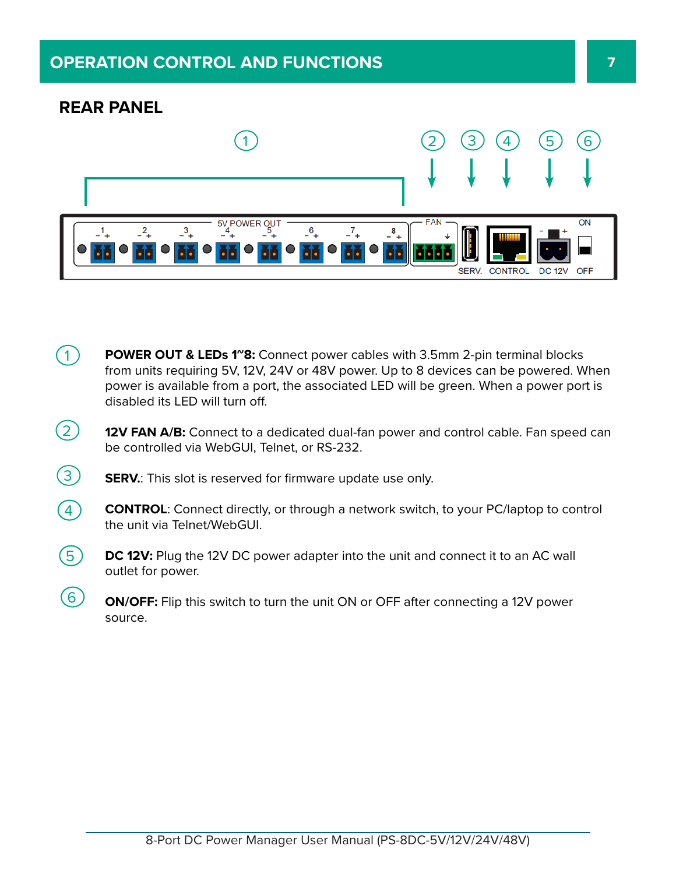### **OPERATION CONTROL AND FUNCTIONS 7**

### **REAR PANEL**

 $\circ$ 



- **POWER OUT & LEDs 1<sup>~</sup>8:** Connect power cables with 3.5mm 2-pin terminal blocks from units requiring 5V, 12V, 24V or 48V power. Up to 8 devices can be powered. When power is available from a port, the associated LED will be green. When a power port is disabled its LED will turn off.  $\left(1\right)$
- **12V FAN A/B:** Connect to a dedicated dual-fan power and control cable. Fan speed can be controlled via WebGUI, Telnet, or RS-232.  $(2)$
- **SERV.:** This slot is reserved for firmware update use only.  $\circled{3}$
- **CONTROL:** Connect directly, or through a network switch, to your PC/laptop to control the unit via Telnet/WebGUI.  $\bigcirc$
- **DC 12V:** Plug the 12V DC power adapter into the unit and connect it to an AC wall outlet for power.  $\circledS$ 
	- **ON/OFF:** Flip this switch to turn the unit ON or OFF after connecting a 12V power source.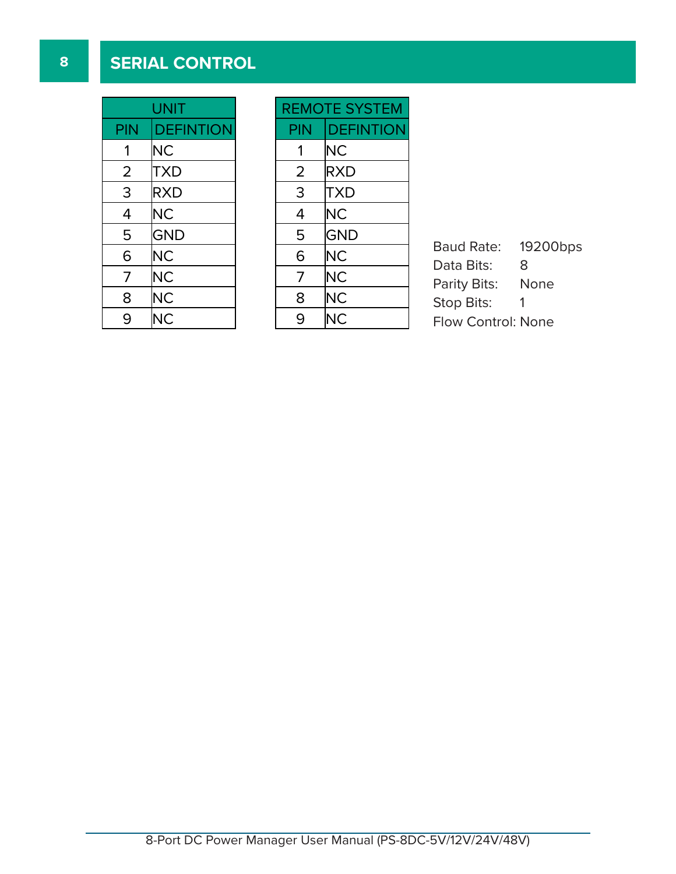### **8 SERIAL CONTROL**

| UNIT |                  |  |  |  |
|------|------------------|--|--|--|
| PIN  | <b>DEFINTION</b> |  |  |  |
| 1    | NС               |  |  |  |
| 2    | <b>TXD</b>       |  |  |  |
| 3    | <b>RXD</b>       |  |  |  |
| 4    | <b>NC</b>        |  |  |  |
| 5    | <b>GND</b>       |  |  |  |
| 6    | <b>NC</b>        |  |  |  |
| 7    | <b>NC</b>        |  |  |  |
| 8    | <b>NC</b>        |  |  |  |
| 9    | ΝC               |  |  |  |

| <b>REMOTE SYSTEM</b> |                  |  |  |  |
|----------------------|------------------|--|--|--|
| <b>PIN</b>           | <b>DEFINTION</b> |  |  |  |
| 1                    | <b>NC</b>        |  |  |  |
| 2                    | <b>RXD</b>       |  |  |  |
| 3                    | TXD              |  |  |  |
| 4                    | ΝC               |  |  |  |
| 5                    | <b>GND</b>       |  |  |  |
| 6                    | <b>NC</b>        |  |  |  |
| 7                    | <b>NC</b>        |  |  |  |
| 8                    | <b>NC</b>        |  |  |  |
| 9                    | ΝC               |  |  |  |

Baud Rate: 19200bps Data Bits: 8 Parity Bits: None Stop Bits: 1 Flow Control: None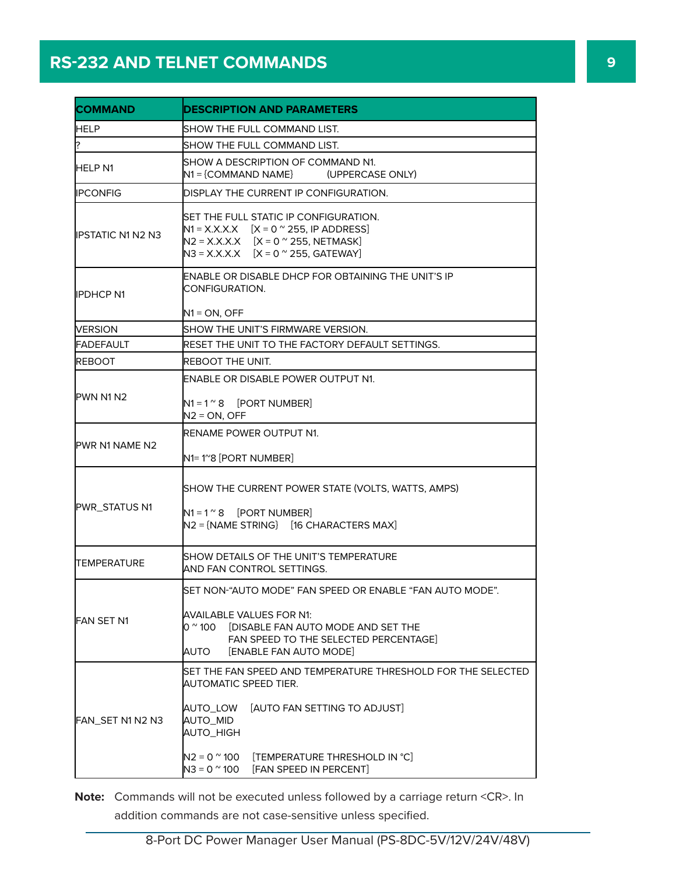## **RS-232 AND TELNET COMMANDS 9**

| <b>DESCRIPTION AND PARAMETERS</b>                                                                                                                                                                                                                  |  |  |  |  |
|----------------------------------------------------------------------------------------------------------------------------------------------------------------------------------------------------------------------------------------------------|--|--|--|--|
| SHOW THE FULL COMMAND LIST.                                                                                                                                                                                                                        |  |  |  |  |
| SHOW THE FULL COMMAND LIST.                                                                                                                                                                                                                        |  |  |  |  |
| SHOW A DESCRIPTION OF COMMAND N1.<br>N1 = {COMMAND NAME}<br>(UPPERCASE ONLY)                                                                                                                                                                       |  |  |  |  |
| DISPLAY THE CURRENT IP CONFIGURATION.                                                                                                                                                                                                              |  |  |  |  |
| SET THE FULL STATIC IP CONFIGURATION.<br>$N1 = X.X.X.X$ $[X = 0$ $\infty$ 255, IP ADDRESS]<br>$N2 = X.X.X.X$ $[X = 0$ $^{\circ}$ 255, NETMASK<br>$N3 = X.X.X.X$ $[X = 0$ $\degree$ 255, GATEWAY                                                    |  |  |  |  |
| ENABLE OR DISABLE DHCP FOR OBTAINING THE UNIT'S IP<br>CONFIGURATION.<br>$N1 = ON$ . OFF                                                                                                                                                            |  |  |  |  |
| SHOW THE UNIT'S FIRMWARE VERSION.                                                                                                                                                                                                                  |  |  |  |  |
| RESET THE UNIT TO THE FACTORY DEFAULT SETTINGS.                                                                                                                                                                                                    |  |  |  |  |
| REBOOT THE UNIT.                                                                                                                                                                                                                                   |  |  |  |  |
| ENABLE OR DISABLE POWER OUTPUT N1.                                                                                                                                                                                                                 |  |  |  |  |
| $N1 = 1^{\circ}8$ [PORT NUMBER]<br>$N2 = ON$ , OFF                                                                                                                                                                                                 |  |  |  |  |
| RENAME POWER OUTPUT N1.<br>N1= 1~8 [PORT NUMBER]                                                                                                                                                                                                   |  |  |  |  |
| SHOW THE CURRENT POWER STATE (VOLTS, WATTS, AMPS)<br>$N1 = 1^{\circ}8$ [PORT NUMBER]<br>$N2 = \{NAME STRING\}$ [16 CHARACTERS MAX]                                                                                                                 |  |  |  |  |
| SHOW DETAILS OF THE UNIT'S TEMPERATURE<br>AND FAN CONTROL SETTINGS.                                                                                                                                                                                |  |  |  |  |
| lSET NON-"AUTO MODE" FAN SPEED OR ENABLE "FAN AUTO MODE".<br>AVAILABLE VALUES FOR N1:<br>O $^{\sim}$ 100 $^{\circ}$<br><b>IDISABLE FAN AUTO MODE AND SET THE</b><br>FAN SPEED TO THE SELECTED PERCENTAGE]<br>AUTO<br><b>[ENABLE FAN AUTO MODE]</b> |  |  |  |  |
| SET THE FAN SPEED AND TEMPERATURE THRESHOLD FOR THE SELECTED<br>AUTOMATIC SPEED TIER.<br>[AUTO FAN SETTING TO ADJUST]<br>AUTO_LOW<br>AUTO_MID<br>AUTO_HIGH<br>$N2 = 0$ $^{\circ}$ 100<br>[TEMPERATURE THRESHOLD IN °C]                             |  |  |  |  |
|                                                                                                                                                                                                                                                    |  |  |  |  |

**Note:** Commands will not be executed unless followed by a carriage return <CR>. In addition commands are not case-sensitive unless specified.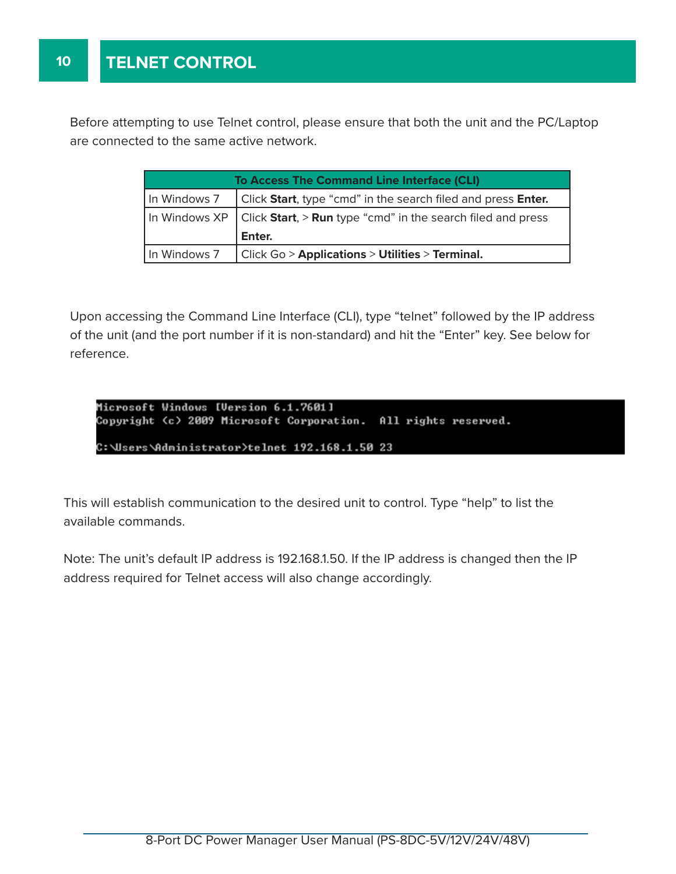**10**

Before attempting to use Telnet control, please ensure that both the unit and the PC/Laptop are connected to the same active network.

| <b>To Access The Command Line Interface (CLI)</b> |                                                                                  |  |  |
|---------------------------------------------------|----------------------------------------------------------------------------------|--|--|
|                                                   | In Windows 7 $\int$ Click Start, type "cmd" in the search filed and press Enter. |  |  |
|                                                   | In Windows $XP$ Click Start, > Run type "cmd" in the search filed and press      |  |  |
|                                                   | Enter.                                                                           |  |  |
| In Windows 7                                      | Click Go > Applications > Utilities > Terminal.                                  |  |  |

of the unit (and the port number if it is non-standard) and hit the "Enter" key. See below for Upon accessing the Command Line Interface (CLI), type "telnet" followed by the IP address reference.

**CLICK ON 8/16 <b>CLICK** 

```
ON THE TOP MENU 
Microsoft Windows [Version 6.1.7601]
Copyright (c) 2009 Microsoft Corporation. All rights reserved.
                                                    TOMIZE AND THEN 
C:\Users\Administrator>telnet 192.168.1.50 23
```
This will establish communication to the desired unit to control. Type "help" to list the available commands.

Note: The unit's default IP address is 192.168.1.50. If the IP address is changed then the IP address required for Telnet access will also change accordingly.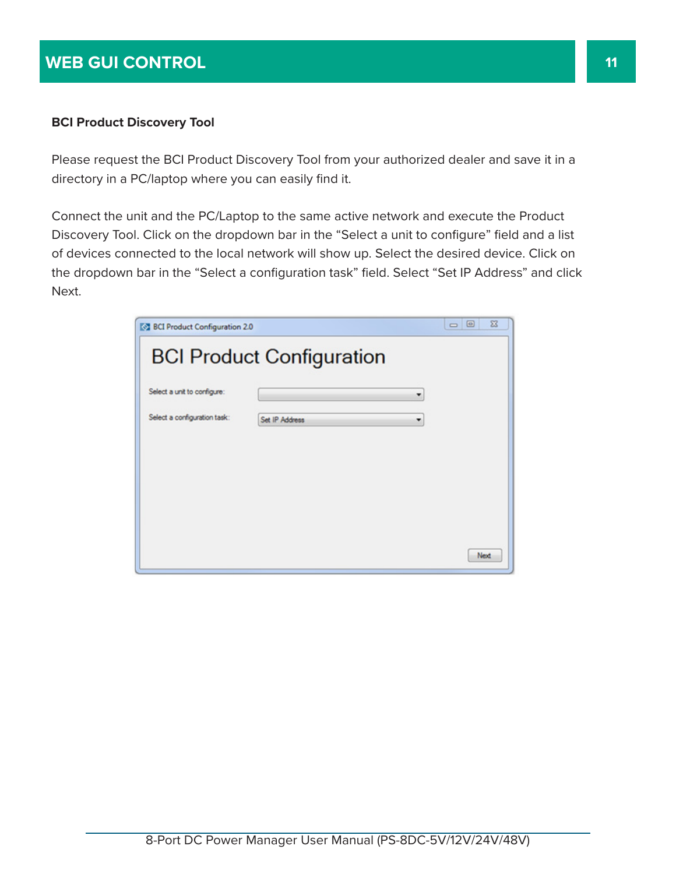### **WEB GUI CONTROL 11 11 11**

#### **BCI Product Discovery Tool**

Please request the BCI Product Discovery Tool from your authorized dealer and save it in a directory in a PC/laptop where you can easily find it.

Connect the unit and the PC/Laptop to the same active network and execute the Product Discovery Tool. Click on the dropdown bar in the "Select a unit to configure" field and a list of devices connected to the local network will show up. Select the desired device. Click on the dropdown bar in the "Select a configuration task" field. Select "Set IP Address" and click Next.

| <b>EXT BCI Product Configuration 2.0</b> |                                  | $\Sigma$<br>▣<br>$\Box$ |
|------------------------------------------|----------------------------------|-------------------------|
|                                          | <b>BCI Product Configuration</b> |                         |
| Select a unit to configure:              |                                  | ۳                       |
| Select a configuration task:             | Set IP Address                   | ٠                       |
|                                          |                                  |                         |
|                                          |                                  |                         |
|                                          |                                  |                         |
|                                          |                                  |                         |
|                                          |                                  | Next                    |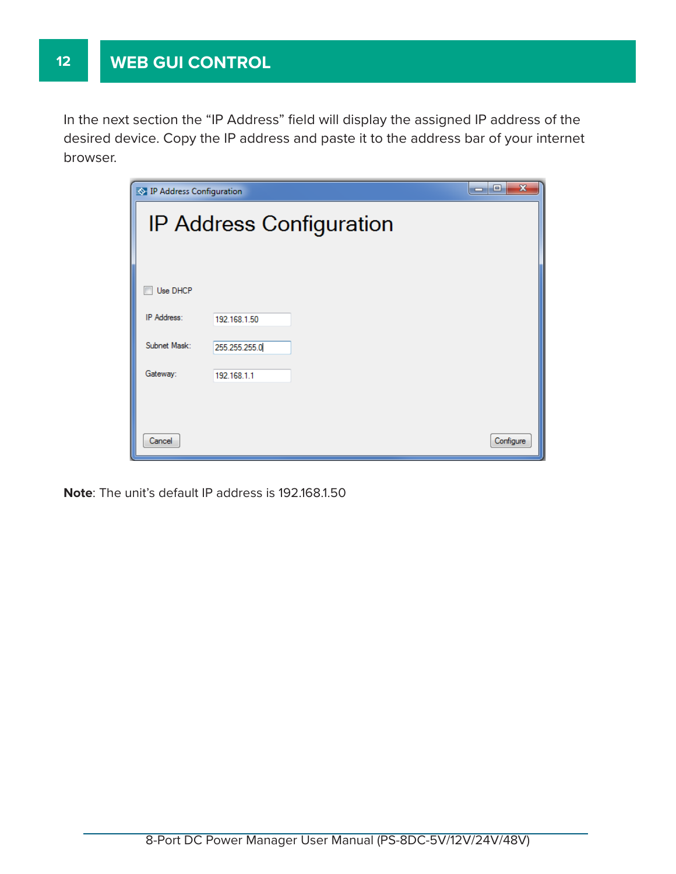In the next section the "IP Address" field will display the assigned IP address of the desired device. Copy the IP address and paste it to the address bar of your internet browser.

| <b>EXTIP Address Configuration</b> |                          | $\mathbf x$<br>-0<br>œ |
|------------------------------------|--------------------------|------------------------|
|                                    | IP Address Configuration |                        |
|                                    |                          |                        |
| Use DHCP                           |                          |                        |
| <b>IP Address:</b>                 | 192.168.1.50             |                        |
| Subnet Mask:                       | 255.255.255.0            |                        |
| Gateway:                           | 192.168.1.1              |                        |
|                                    |                          |                        |
| Cancel                             |                          | Configure              |

**Note**: The unit's default IP address is 192.168.1.50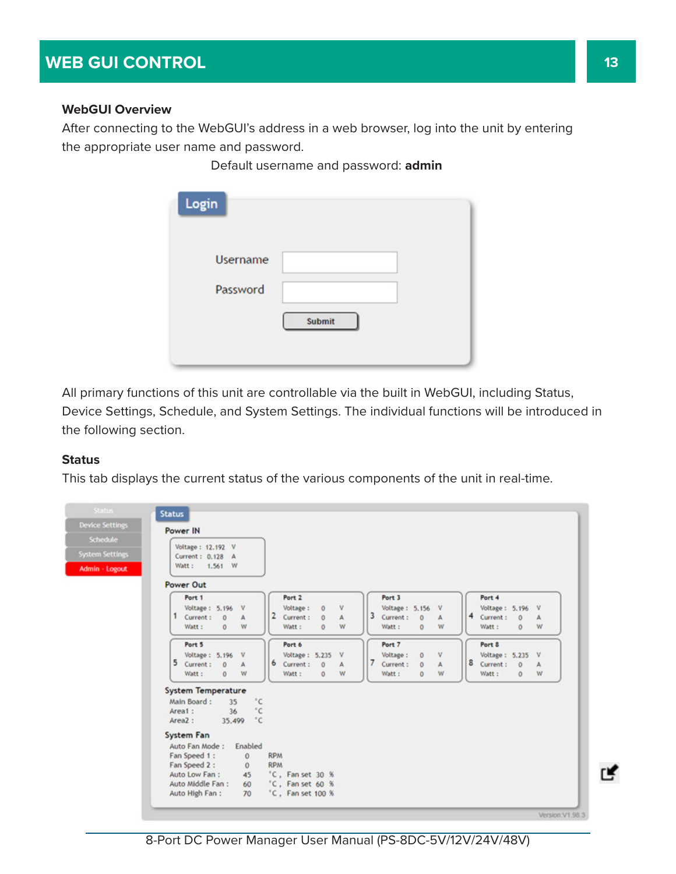#### **WebGUI Overview**

After connecting to the WebGUI's address in a web browser, log into the unit by entering the appropriate user name and password.

Default username and password: **admin**

| Login           |               |
|-----------------|---------------|
| <b>Username</b> |               |
| Password        |               |
|                 | <b>Submit</b> |
|                 |               |

All primary functions of this unit are controllable via the built in WebGUI, including Status, Device Settings, Schedule, and System Settings. The individual functions will be introduced in the following section.

#### **Status**

This tab displays the current status of the various components of the unit in real-time.

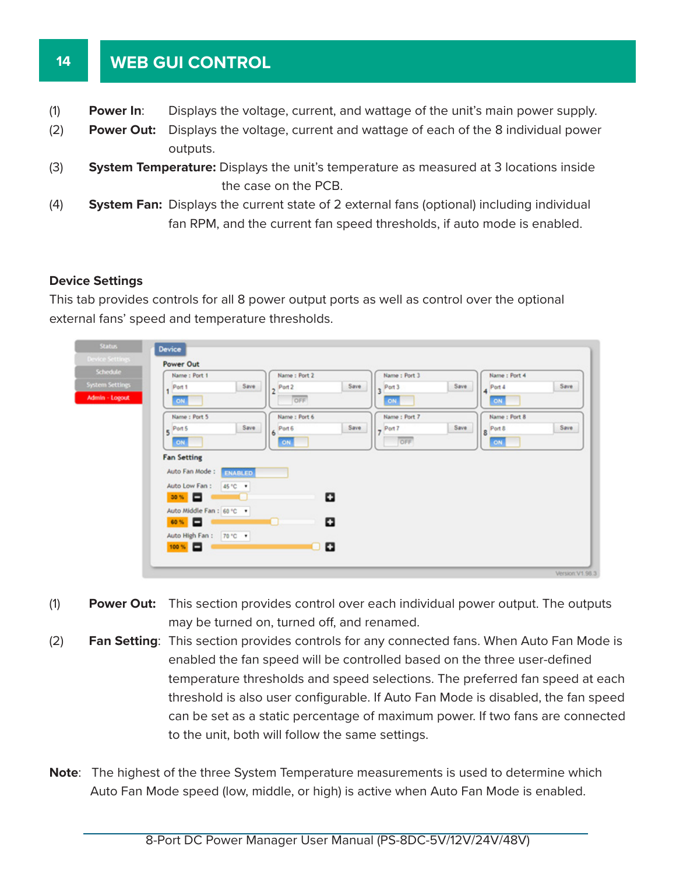#### **14 WEB GUI CONTROL**

- (1) **Power In**: Displays the voltage, current, and wattage of the unit's main power supply.
- (2) **Power Out:** Displays the voltage, current and wattage of each of the 8 individual power outputs.
- (3) **System Temperature:** Displays the unit's temperature as measured at 3 locations inside the case on the PCB.
- (4) **System Fan:** Displays the current state of 2 external fans (optional) including individual fan RPM, and the current fan speed thresholds, if auto mode is enabled.

#### **Device Settings**

This tab provides controls for all 8 power output ports as well as control over the optional external fans' speed and temperature thresholds.

| Status.<br><b>Device Settings</b>                    | Device                                                                                                                                                                                                    |
|------------------------------------------------------|-----------------------------------------------------------------------------------------------------------------------------------------------------------------------------------------------------------|
| Schedule<br><b>System Settings</b><br>Admin - Logout | Power Out<br>Name: Port 2<br>Name: Port 3<br>Name: Port 4<br>Name: Port 1<br>Save<br>Save<br>Save<br>Save<br>Port 1<br>$2^{Part2}$<br>Port 3<br>$\mathbf{q}$ Port 4<br>ä<br>ł.<br>OFF<br>ON.<br>ON<br>ON. |
|                                                      | Name: Port 6<br>Name: Port 7<br>Name: Port 8<br>Name: Port 5<br>Save.<br>Save<br>Save<br>Save<br>Port 8<br>5 Port 5<br>Port 6<br>Port 7<br>8<br>6<br>OFF<br>ON<br>ON<br>ON                                |
|                                                      | <b>Fan Setting</b><br>Auto Fan Mode:<br><b>ENABLED</b><br>Auto Low Fan:<br>45 °C .                                                                                                                        |
|                                                      | ۰<br>30 % <b>D</b><br>Auto Middle Fan: 60 °C ·<br>۰<br>60 % <b>D</b>                                                                                                                                      |
|                                                      | Auto High Fan : 70 °C .<br>۰<br>$100 \times \Box$<br>u                                                                                                                                                    |

- (1) **Power Out:** This section provides control over each individual power output. The outputs may be turned on, turned off, and renamed.
- (2) **Fan Setting**: This section provides controls for any connected fans. When Auto Fan Mode is enabled the fan speed will be controlled based on the three user-defined temperature thresholds and speed selections. The preferred fan speed at each threshold is also user configurable. If Auto Fan Mode is disabled, the fan speed can be set as a static percentage of maximum power. If two fans are connected to the unit, both will follow the same settings.
- **Note**: The highest of the three System Temperature measurements is used to determine which Auto Fan Mode speed (low, middle, or high) is active when Auto Fan Mode is enabled.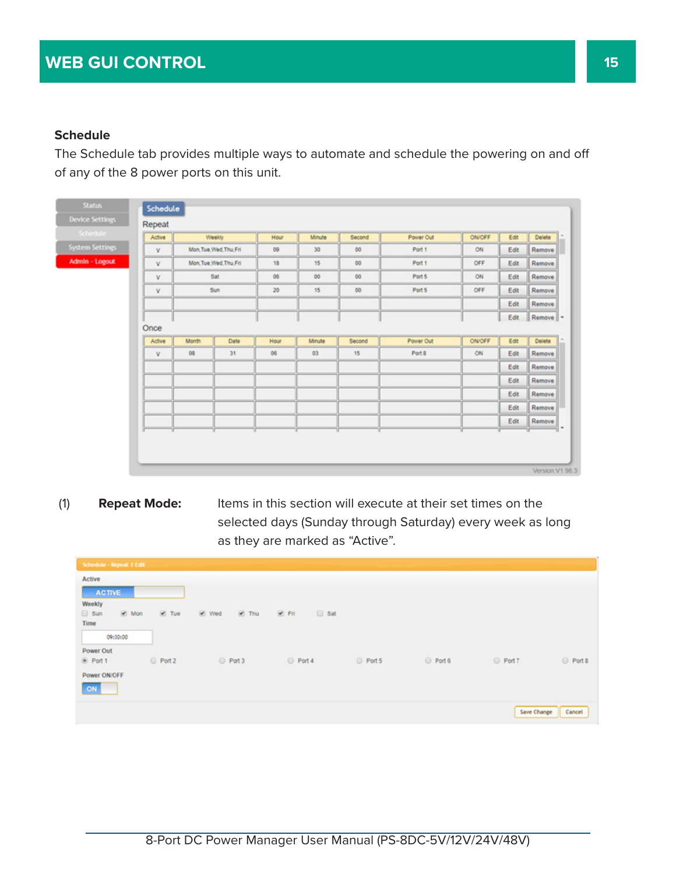#### **Schedule**

The Schedule tab provides multiple ways to automate and schedule the powering on and off of any of the 8 power ports on this unit.

| Schedule               | Active |       | Weekly                  | Hour | Minute          | Second  | Power Out | ONICEF | Edit | Delete     |
|------------------------|--------|-------|-------------------------|------|-----------------|---------|-----------|--------|------|------------|
| <b>System Settings</b> | v      |       | Mon.Tue.Wed.Thu.Fri     | 09   | 30 <sub>2</sub> | $^{00}$ | Port 1    | ON     | Edit | Remove     |
| Admin - Logout         | v      |       | Mon. Tue, Wed. Thu, Fri | 18   | 15              | 00      | Port 1    | OFF    | Edit | Remove     |
|                        | v      |       | Sat                     | 06   | 00              | $^{00}$ | Port 5    | ON     | Edit | Remove     |
|                        | v      |       | Sun                     | 20   | 15              | $^{00}$ | Port 5    | OFF    | Edit | Remove     |
|                        |        |       |                         |      |                 |         |           |        | Edit | Remove     |
|                        |        |       |                         |      |                 |         |           |        | Edit | Remove   - |
|                        | Once   |       |                         |      |                 |         |           |        |      |            |
|                        | Active | Month | Date                    | Hour | Minute          | Second  | Power Out | ON/OFF | Edit | Delete     |
|                        | v      | 08    | 31                      | 06   | 03              | 15      | Port 8    | ON     | Edit | Remove     |
|                        |        |       |                         |      |                 |         |           |        | Edit | Remove     |
|                        |        |       |                         |      |                 |         |           |        | Edit | Remove     |
|                        |        |       |                         |      |                 |         |           |        | Edit | Remove     |
|                        |        |       |                         |      |                 |         |           |        | Edit | Remove     |
|                        |        |       |                         |      |                 |         |           |        | Edit | Remove     |
|                        |        |       |                         |      |                 |         |           |        |      |            |

(1) **Repeat Mode:** Items in this section will execute at their set times on the selected days (Sunday through Saturday) every week as long as they are marked as "Active".

| Schedule - Repeat 1 Edit |         |                     |                            |        |        |             |        |
|--------------------------|---------|---------------------|----------------------------|--------|--------|-------------|--------|
| Active                   |         |                     |                            |        |        |             |        |
| <b>ACTIVE</b>            |         |                     |                            |        |        |             |        |
| Weekly                   |         |                     |                            |        |        |             |        |
| Mon<br>8un               | $V$ Tue | Med<br><b>C</b> Thu | <b>C</b> Fil<br>$\Box$ Sat |        |        |             |        |
| Time                     |         |                     |                            |        |        |             |        |
| 09:00:00                 |         |                     |                            |        |        |             |        |
| Power Out                |         |                     |                            |        |        |             |        |
| <sup>®</sup> Port 1      | Port 2  | Port 3              | Port 4                     | Port 5 | Port 6 | O Port 7    | Port 8 |
| Power ON/OFF             |         |                     |                            |        |        |             |        |
| ON                       |         |                     |                            |        |        |             |        |
|                          |         |                     |                            |        |        | Save Change | Cancel |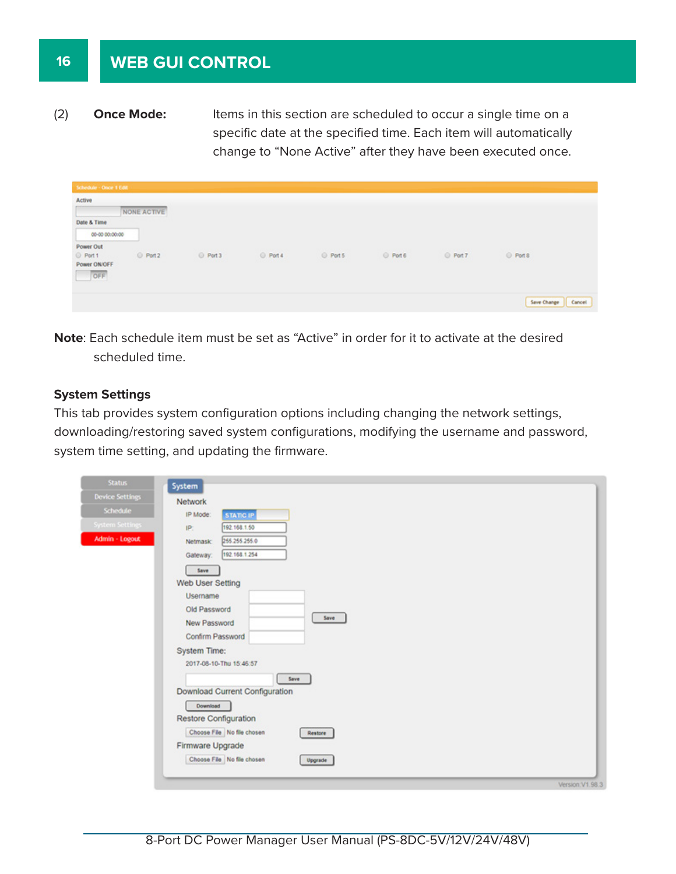### **WEB GUI CONTROL**

(2) **Once Mode:** Items in this section are scheduled to occur a single time on a specific date at the specified time. Each item will automatically change to "None Active" after they have been executed once.

| Schedule - Once 1 Edit |             |        |          |        |        |          |                       |
|------------------------|-------------|--------|----------|--------|--------|----------|-----------------------|
| Active                 |             |        |          |        |        |          |                       |
|                        | NONE ACTIVE |        |          |        |        |          |                       |
| Date & Time            |             |        |          |        |        |          |                       |
| 00-00 00:00:00         |             |        |          |        |        |          |                       |
| Power Out              |             |        |          |        |        |          |                       |
| C Port 1               | O Port 2    | Port 3 | @ Port 4 | Port 5 | Port 6 | O Port 7 | Port 8                |
| Power ON/OFF           |             |        |          |        |        |          |                       |
| OFF                    |             |        |          |        |        |          |                       |
|                        |             |        |          |        |        |          |                       |
|                        |             |        |          |        |        |          | Save Change<br>Cancel |

**Note**: Each schedule item must be set as "Active" in order for it to activate at the desired scheduled time.

#### **System Settings**

This tab provides system configuration options including changing the network settings, downloading/restoring saved system configurations, modifying the username and password, system time setting, and updating the firmware.

| <b>Status</b>           | System                                |  |  |  |  |
|-------------------------|---------------------------------------|--|--|--|--|
| <b>Device Settings</b>  | Network                               |  |  |  |  |
| Schedule                | IP Mode:<br><b>STATIC IP</b>          |  |  |  |  |
| <b>System Settings:</b> | 192.168.1.50<br>IP:                   |  |  |  |  |
| Admin - Logout          | 255 255 255.0<br>Netmask:             |  |  |  |  |
|                         | 192.168.1.254<br>Gateway:             |  |  |  |  |
|                         |                                       |  |  |  |  |
|                         | Save<br>Web User Setting              |  |  |  |  |
|                         | Username                              |  |  |  |  |
|                         | Old Password                          |  |  |  |  |
|                         | Save<br>New Password                  |  |  |  |  |
|                         | Confirm Password                      |  |  |  |  |
|                         | System Time:                          |  |  |  |  |
|                         | 2017-08-10-Thu 15:46:57               |  |  |  |  |
|                         | Save                                  |  |  |  |  |
|                         | Download Current Configuration        |  |  |  |  |
|                         | Download                              |  |  |  |  |
|                         | Restore Configuration                 |  |  |  |  |
|                         | Choose File No file chosen<br>Restore |  |  |  |  |
|                         | Firmware Upgrade                      |  |  |  |  |
|                         | Choose File No file chosen            |  |  |  |  |
|                         | Upgrade                               |  |  |  |  |
|                         | Version V1.98.3                       |  |  |  |  |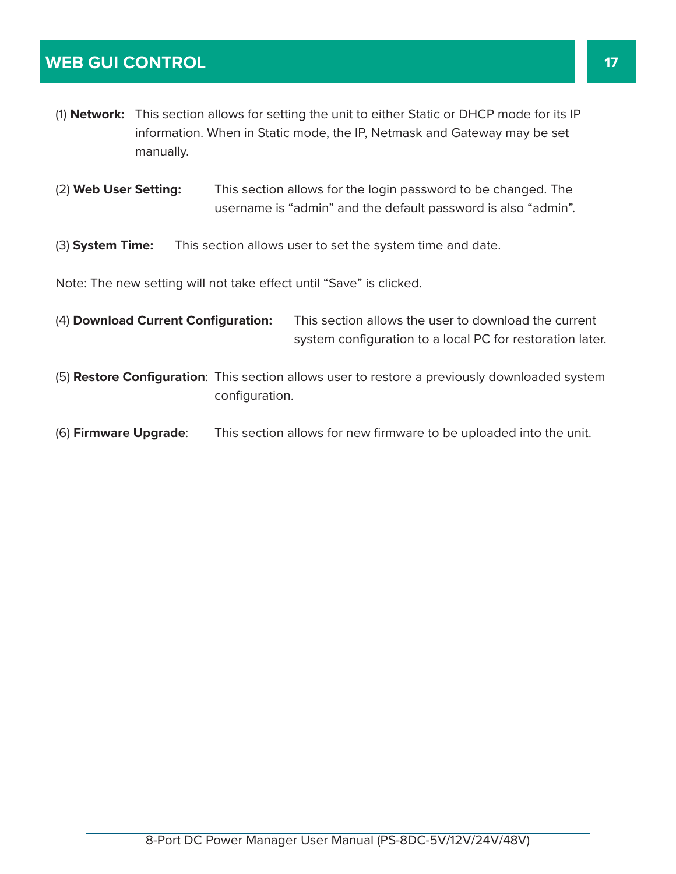### **WEB GUI CONTROL 17**

- (1) **Network:** This section allows for setting the unit to either Static or DHCP mode for its IP information. When in Static mode, the IP, Netmask and Gateway may be set manually.
- (2) **Web User Setting:** This section allows for the login password to be changed. The username is "admin" and the default password is also "admin".
- (3) **System Time:** This section allows user to set the system time and date.

Note: The new setting will not take effect until "Save" is clicked.

| (4) Download Current Configuration: | This section allows the user to download the current      |  |  |
|-------------------------------------|-----------------------------------------------------------|--|--|
|                                     | system configuration to a local PC for restoration later. |  |  |

- (5) **Restore Configuration**: This section allows user to restore a previously downloaded system configuration.
- (6) **Firmware Upgrade**: This section allows for new firmware to be uploaded into the unit.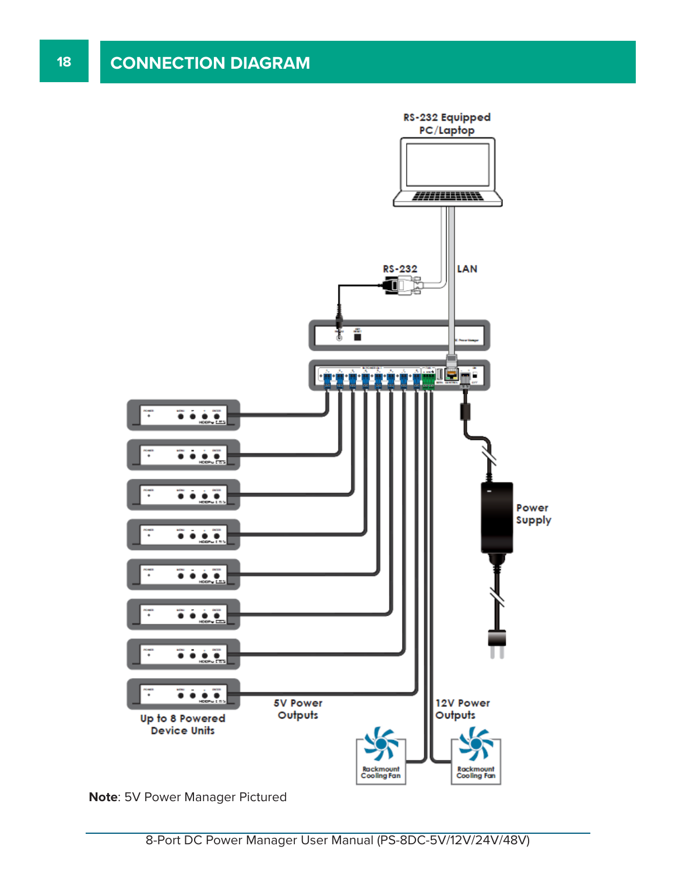

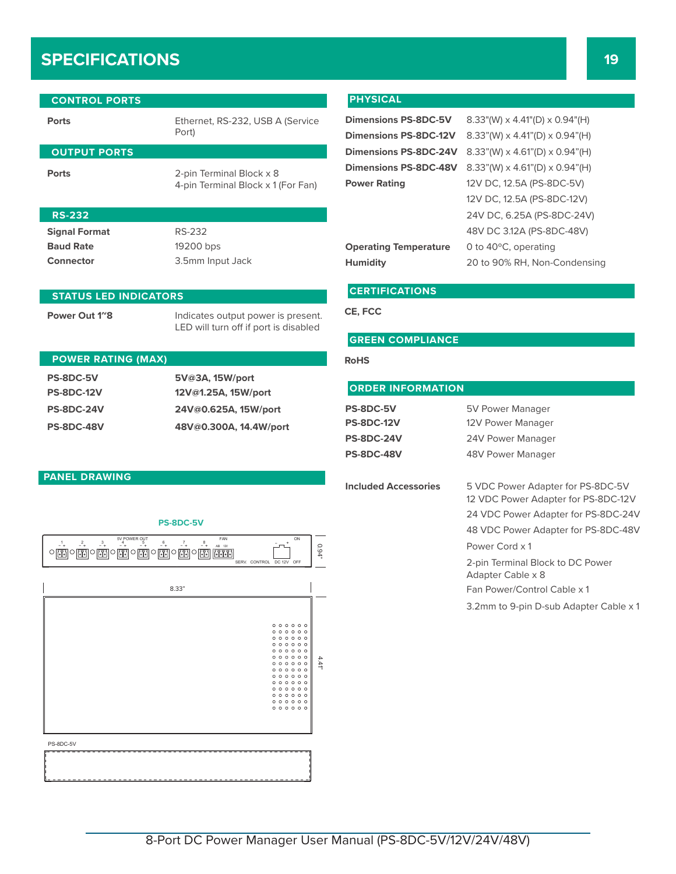## **SPECIFICATIONS 19**

| <b>CONTROL PORTS</b>         |                                                                             |  |
|------------------------------|-----------------------------------------------------------------------------|--|
| <b>Ports</b>                 | Ethernet, RS-232, USB A (Service<br>Port)                                   |  |
| <b>OUTPUT PORTS</b>          |                                                                             |  |
| <b>Ports</b>                 | 2-pin Terminal Block x 8<br>4-pin Terminal Block x 1 (For Fan)              |  |
| <b>RS-232</b>                |                                                                             |  |
| <b>Signal Format</b>         | RS-232                                                                      |  |
| <b>Baud Rate</b>             | 19200 bps                                                                   |  |
| Connector                    | 3.5mm Input Jack                                                            |  |
| <b>STATUS LED INDICATORS</b> |                                                                             |  |
| Power Out 1 <sup>~</sup> 8   | Indicates output power is present.<br>LED will turn off if port is disabled |  |

#### **POWER RATING (MAX) PS-8DC-5V 5V@3A, 15W/port PS-8DC-12V 12V@1.25A, 15W/port PS-8DC-24V 24V@0.625A, 15W/port PS-8DC-48V 48V@0.300A, 14.4W/port** RS232

#### **PHYSICAL**

| Dimensions PS-8DC-5V 8.33"(W)  |          |
|--------------------------------|----------|
| Dimensions PS-8DC-12V 8.33"(W) |          |
| Dimensions PS-8DC-24V 8.33"(W) |          |
| Dimensions PS-8DC-48V 8.33"(W) |          |
| <b>Power Rating</b>            | 12V DC.  |
|                                | 12V DC.  |
|                                | 24V DC,  |
|                                | $48V$ DC |

 $\times$  4.41"(D)  $\times$  0.94"(H) **Dimensions PS-8DC-12V** 8.33"(W) x 4.41"(D) x 0.94"(H)  $\times$  4.61"(D)  $\times$  0.94"(H) **Dimensions PS-8DC-48V** 8.33"(W) x 4.61"(D) x 0.94"(H) 12.5A (PS-8DC-5V) 12.5A (PS-8DC-12V) 6.25A (PS-8DC-24V) 48V DC 3.12A (PS-8DC-48V) **Operating Temperature** 0 to 40°C, operating **Humidity** 20 to 90% RH, Non-Condensing

#### **CERTIFICATIONS**

**CE, FCC**

#### **GREEN COMPLIANCE**

#### **RoHS**

#### **ORDER INFORMATION**

| PS-8DC-5V         | 5V Power Manager  |
|-------------------|-------------------|
| <b>PS-8DC-12V</b> | 12V Power Manager |
| <b>PS-8DC-24V</b> | 24V Power Manager |
| <b>PS-8DC-48V</b> | 48V Power Manager |
|                   |                   |

**Included Accessories** 5 VDC Power Adapter for PS-8DC-5V 12 VDC Power Adapter for PS-8DC-12V 24 VDC Power Adapter for PS-8DC-24V 48 VDC Power Adapter for PS-8DC-48V Power Cord x 1

> 2-pin Terminal Block to DC Power Adapter Cable x 8 Fan Power/Control Cable x 1

3.2mm to 9-pin D-sub Adapter Cable x 1

#### **PANEL DRAWING**



**PS-8DC-5V**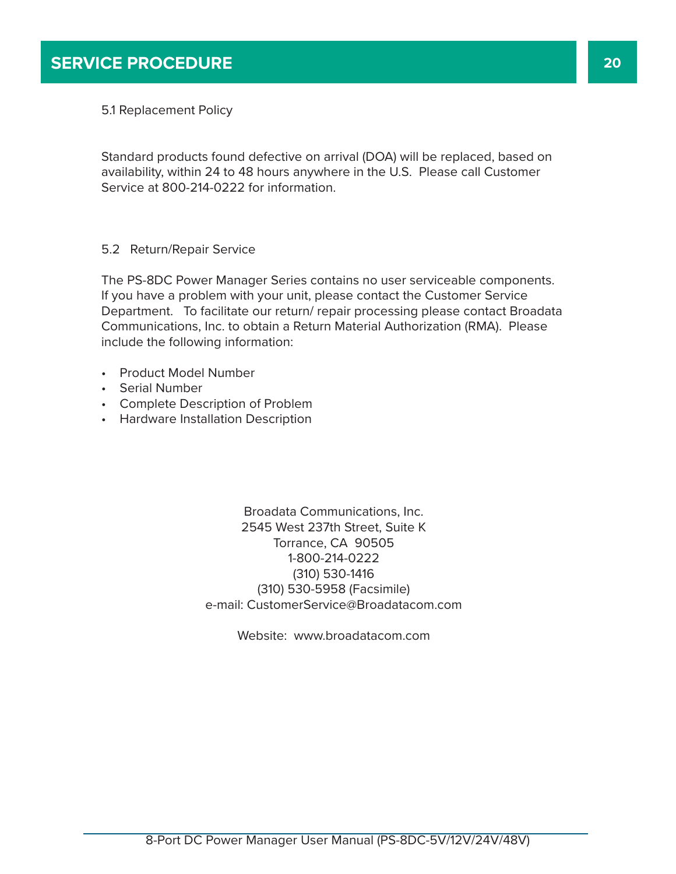5.1 Replacement Policy

Standard products found defective on arrival (DOA) will be replaced, based on availability, within 24 to 48 hours anywhere in the U.S. Please call Customer Service at 800-214-0222 for information.

#### 5.2 Return/Repair Service

The PS-8DC Power Manager Series contains no user serviceable components. If you have a problem with your unit, please contact the Customer Service Department. To facilitate our return/ repair processing please contact Broadata Communications, Inc. to obtain a Return Material Authorization (RMA). Please include the following information:

- Product Model Number
- Serial Number
- Complete Description of Problem
- Hardware Installation Description

Broadata Communications, Inc. 2545 West 237th Street, Suite K Torrance, CA 90505 1-800-214-0222 (310) 530-1416 (310) 530-5958 (Facsimile) e-mail: CustomerService@Broadatacom.com

Website: www.broadatacom.com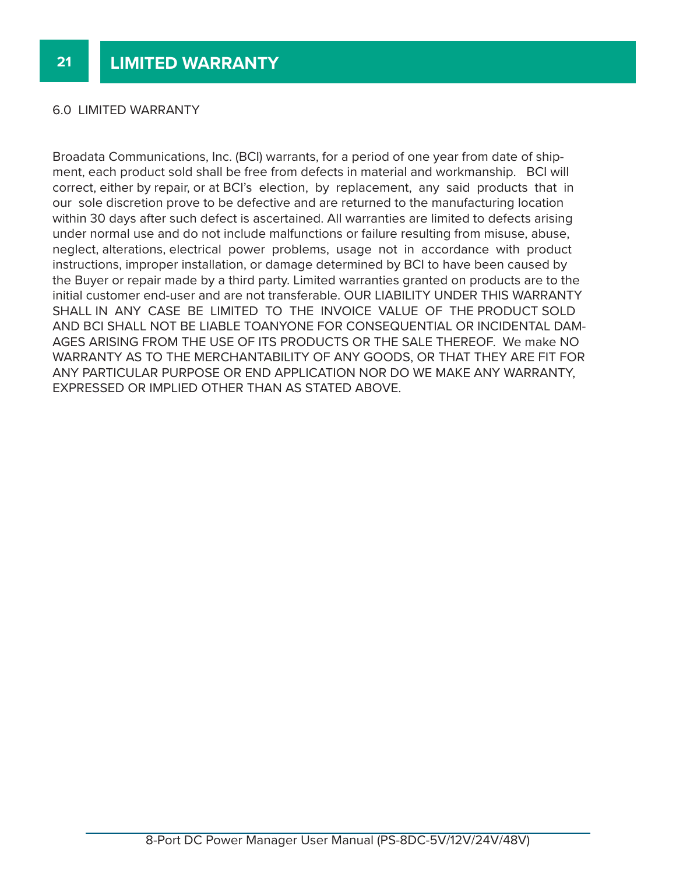#### 6.0 LIMITED WARRANTY

Broadata Communications, Inc. (BCI) warrants, for a period of one year from date of shipment, each product sold shall be free from defects in material and workmanship. BCI will correct, either by repair, or at BCI's election, by replacement, any said products that in our sole discretion prove to be defective and are returned to the manufacturing location within 30 days after such defect is ascertained. All warranties are limited to defects arising under normal use and do not include malfunctions or failure resulting from misuse, abuse, neglect, alterations, electrical power problems, usage not in accordance with product instructions, improper installation, or damage determined by BCI to have been caused by the Buyer or repair made by a third party. Limited warranties granted on products are to the initial customer end-user and are not transferable. OUR LIABILITY UNDER THIS WARRANTY SHALL IN ANY CASE BE LIMITED TO THE INVOICE VALUE OF THE PRODUCT SOLD AND BCI SHALL NOT BE LIABLE TOANYONE FOR CONSEQUENTIAL OR INCIDENTAL DAM-AGES ARISING FROM THE USE OF ITS PRODUCTS OR THE SALE THEREOF. We make NO WARRANTY AS TO THE MERCHANTABILITY OF ANY GOODS, OR THAT THEY ARE FIT FOR ANY PARTICULAR PURPOSE OR END APPLICATION NOR DO WE MAKE ANY WARRANTY, EXPRESSED OR IMPLIED OTHER THAN AS STATED ABOVE.